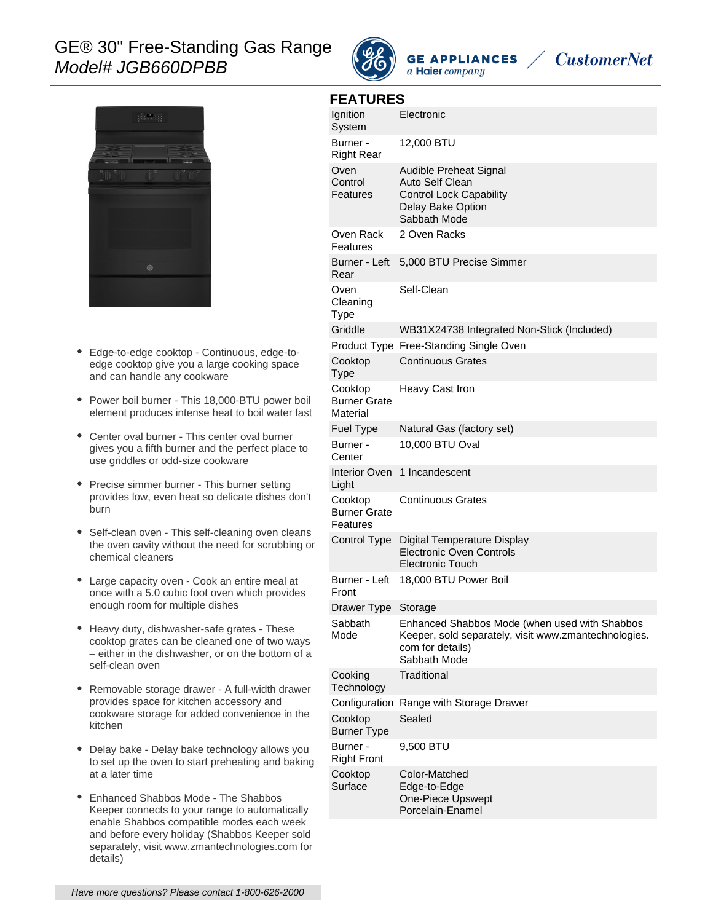# GE® 30" Free-Standing Gas Range Model# JGB660DPBB



**GE APPLIANCES** a Haier company





- Edge-to-edge cooktop Continuous, edge-to- $\bullet$ edge cooktop give you a large cooking space and can handle any cookware
- Power boil burner This 18,000-BTU power boil element produces intense heat to boil water fast
- Center oval burner This center oval burner gives you a fifth burner and the perfect place to use griddles or odd-size cookware
- Precise simmer burner This burner setting provides low, even heat so delicate dishes don't burn
- Self-clean oven This self-cleaning oven cleans the oven cavity without the need for scrubbing or chemical cleaners
- Large capacity oven Cook an entire meal at once with a 5.0 cubic foot oven which provides enough room for multiple dishes
- Heavy duty, dishwasher-safe grates These cooktop grates can be cleaned one of two ways – either in the dishwasher, or on the bottom of a self-clean oven
- $\bullet$ Removable storage drawer - A full-width drawer provides space for kitchen accessory and cookware storage for added convenience in the kitchen
- Delay bake Delay bake technology allows you to set up the oven to start preheating and baking at a later time
- Enhanced Shabbos Mode The Shabbos Keeper connects to your range to automatically enable Shabbos compatible modes each week and before every holiday (Shabbos Keeper sold separately, visit www.zmantechnologies.com for details)

| <b>FEATURES</b> |  |
|-----------------|--|
|-----------------|--|

| <b>FEAIUREJ</b>                            |                                                                                                                                           |  |
|--------------------------------------------|-------------------------------------------------------------------------------------------------------------------------------------------|--|
| Ignition<br>System                         | Electronic                                                                                                                                |  |
| Burner -<br><b>Right Rear</b>              | 12,000 BTU                                                                                                                                |  |
| Oven<br>Control<br>Features                | Audible Preheat Signal<br>Auto Self Clean<br><b>Control Lock Capability</b><br>Delay Bake Option<br>Sabbath Mode                          |  |
| Oven Rack<br>Features                      | 2 Oven Racks                                                                                                                              |  |
| Burner - Left<br>Rear                      | 5,000 BTU Precise Simmer                                                                                                                  |  |
| Oven<br>Cleaning<br>Type                   | Self-Clean                                                                                                                                |  |
| Griddle                                    | WB31X24738 Integrated Non-Stick (Included)                                                                                                |  |
|                                            | Product Type Free-Standing Single Oven                                                                                                    |  |
| Cooktop<br><b>Type</b>                     | <b>Continuous Grates</b>                                                                                                                  |  |
| Cooktop<br><b>Burner Grate</b><br>Material | Heavy Cast Iron                                                                                                                           |  |
| Fuel Type                                  | Natural Gas (factory set)                                                                                                                 |  |
| Burner -<br>Center                         | 10,000 BTU Oval                                                                                                                           |  |
| Interior Oven<br>Light                     | 1 Incandescent                                                                                                                            |  |
| Cooktop<br><b>Burner Grate</b><br>Features | <b>Continuous Grates</b>                                                                                                                  |  |
| Control Type                               | Digital Temperature Display<br>Electronic Oven Controls<br><b>Electronic Touch</b>                                                        |  |
| Burner - Left<br>Front                     | 18,000 BTU Power Boil                                                                                                                     |  |
| Drawer Type                                | Storage                                                                                                                                   |  |
| Sabbath<br>Mode                            | Enhanced Shabbos Mode (when used with Shabbos<br>Keeper, sold separately, visit www.zmantechnologies.<br>com for details)<br>Sabbath Mode |  |
| Cooking<br>Technology                      | Traditional                                                                                                                               |  |
| Configuration                              | Range with Storage Drawer                                                                                                                 |  |
| Cooktop<br><b>Burner Type</b>              | Sealed                                                                                                                                    |  |
| Burner -<br><b>Right Front</b>             | 9,500 BTU                                                                                                                                 |  |
| Cooktop<br>Surface                         | Color-Matched<br>Edge-to-Edge<br>One-Piece Upswept<br>Porcelain-Enamel                                                                    |  |